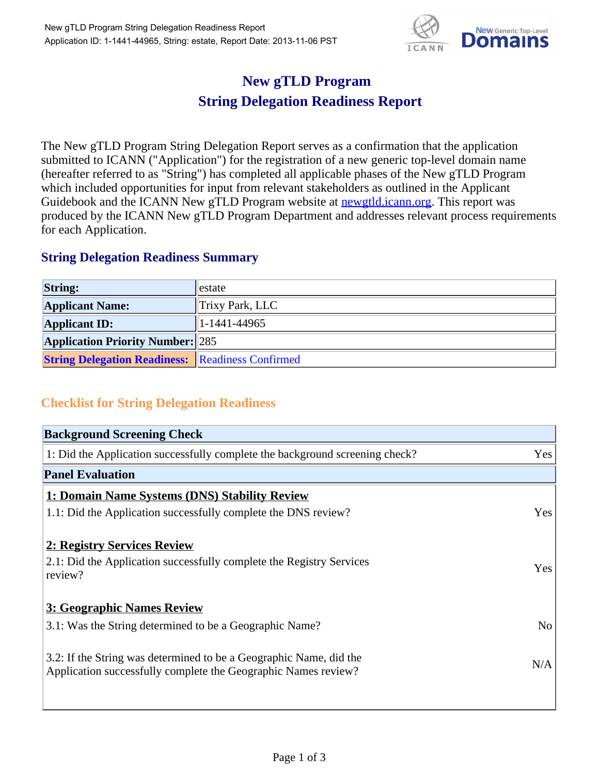

## **New gTLD Program String Delegation Readiness Report**

The New gTLD Program String Delegation Report serves as a confirmation that the application submitted to ICANN ("Application") for the registration of a new generic top-level domain name (hereafter referred to as "String") has completed all applicable phases of the New gTLD Program which included opportunities for input from relevant stakeholders as outlined in the Applicant Guidebook and the ICANN New gTLD Program website at **newgtld.jcann.org**. This report was produced by the ICANN New gTLD Program Department and addresses relevant process requirements for each Application.

## **String Delegation Readiness Summary**

| <b>String:</b>                                          | llestate            |
|---------------------------------------------------------|---------------------|
| <b>Applicant Name:</b>                                  | $ $ Trixy Park, LLC |
| <b>Applicant ID:</b>                                    | $ 1-1441-44965 $    |
| <b>Application Priority Number: 285</b>                 |                     |
| <b>String Delegation Readiness:</b> Readiness Confirmed |                     |

## **Checklist for String Delegation Readiness**

| <b>Background Screening Check</b>                                                                                                    |                |
|--------------------------------------------------------------------------------------------------------------------------------------|----------------|
| 1: Did the Application successfully complete the background screening check?                                                         | Yes            |
| <b>Panel Evaluation</b>                                                                                                              |                |
| 1: Domain Name Systems (DNS) Stability Review                                                                                        |                |
| 1.1: Did the Application successfully complete the DNS review?                                                                       | Yes            |
| 2: Registry Services Review                                                                                                          |                |
| 2.1: Did the Application successfully complete the Registry Services<br>review?                                                      | Yes            |
| 3: Geographic Names Review                                                                                                           |                |
| 3.1: Was the String determined to be a Geographic Name?                                                                              | N <sub>o</sub> |
| 3.2: If the String was determined to be a Geographic Name, did the<br>Application successfully complete the Geographic Names review? | N/A            |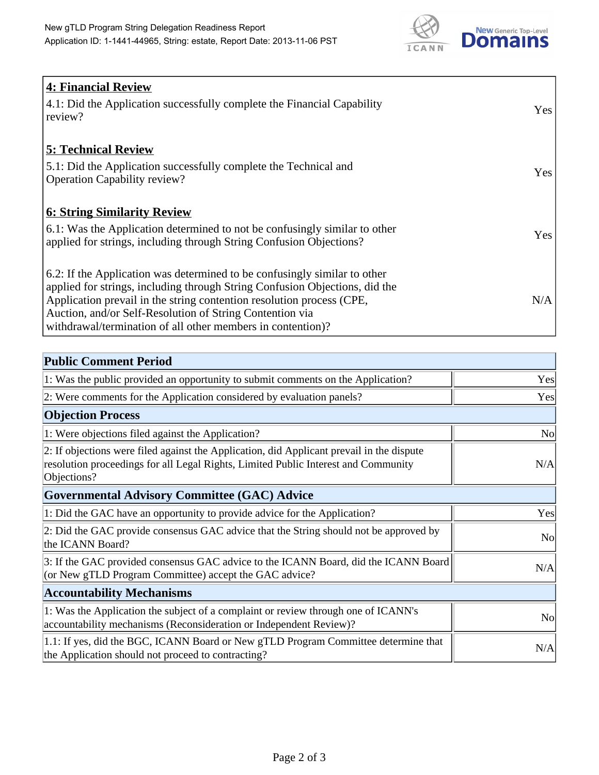

| <b>4: Financial Review</b>                                                                                                                               |            |
|----------------------------------------------------------------------------------------------------------------------------------------------------------|------------|
| 4.1: Did the Application successfully complete the Financial Capability<br>review?                                                                       | <b>Yes</b> |
| <b>5: Technical Review</b>                                                                                                                               |            |
| 5.1: Did the Application successfully complete the Technical and<br><b>Operation Capability review?</b>                                                  | Yes        |
| <b>6: String Similarity Review</b>                                                                                                                       |            |
| 6.1: Was the Application determined to not be confusingly similar to other<br>applied for strings, including through String Confusion Objections?        | Yes        |
| 6.2: If the Application was determined to be confusingly similar to other<br>applied for strings, including through String Confusion Objections, did the |            |
| Application prevail in the string contention resolution process (CPE,                                                                                    | N/A        |
| Auction, and/or Self-Resolution of String Contention via                                                                                                 |            |
| withdrawal/termination of all other members in contention)?                                                                                              |            |

| <b>Public Comment Period</b>                                                                                                                                                                   |                |
|------------------------------------------------------------------------------------------------------------------------------------------------------------------------------------------------|----------------|
| 1: Was the public provided an opportunity to submit comments on the Application?                                                                                                               | Yes            |
| 2: Were comments for the Application considered by evaluation panels?                                                                                                                          | Yes            |
| <b>Objection Process</b>                                                                                                                                                                       |                |
| 1: Were objections filed against the Application?                                                                                                                                              | <b>No</b>      |
| 2: If objections were filed against the Application, did Applicant prevail in the dispute<br>resolution proceedings for all Legal Rights, Limited Public Interest and Community<br>Objections? | N/A            |
| <b>Governmental Advisory Committee (GAC) Advice</b>                                                                                                                                            |                |
| 1: Did the GAC have an opportunity to provide advice for the Application?                                                                                                                      | Yes            |
| 2: Did the GAC provide consensus GAC advice that the String should not be approved by<br>the ICANN Board?                                                                                      | N <sub>0</sub> |
| 3: If the GAC provided consensus GAC advice to the ICANN Board, did the ICANN Board<br>(or New gTLD Program Committee) accept the GAC advice?                                                  | N/A            |
| <b>Accountability Mechanisms</b>                                                                                                                                                               |                |
| 1: Was the Application the subject of a complaint or review through one of ICANN's<br>accountability mechanisms (Reconsideration or Independent Review)?                                       | <b>No</b>      |
| 1.1: If yes, did the BGC, ICANN Board or New gTLD Program Committee determine that<br>the Application should not proceed to contracting?                                                       | N/A            |